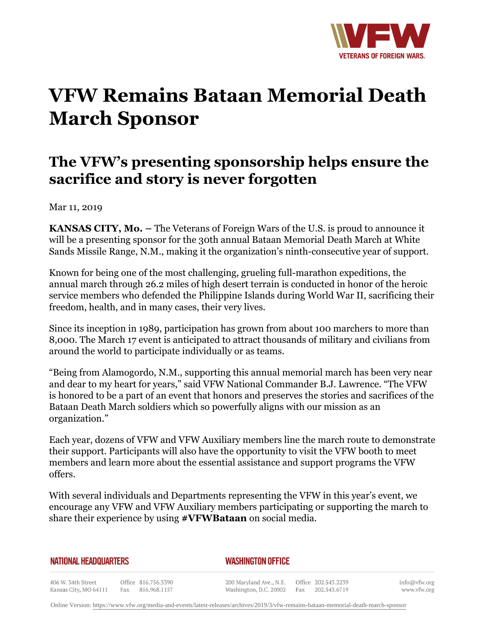

## **VFW Remains Bataan Memorial Death March Sponsor**

## **The VFW's presenting sponsorship helps ensure the sacrifice and story is never forgotten**

Mar 11, 2019

**KANSAS CITY, Mo. –** The Veterans of Foreign Wars of the U.S. is proud to announce it will be a presenting sponsor for the 30th annual Bataan Memorial Death March at White Sands Missile Range, N.M., making it the organization's ninth-consecutive year of support.

Known for being one of the most challenging, grueling full-marathon expeditions, the annual march through 26.2 miles of high desert terrain is conducted in honor of the heroic service members who defended the Philippine Islands during World War II, sacrificing their freedom, health, and in many cases, their very lives.

Since its inception in 1989, participation has grown from about 100 marchers to more than 8,000. The March 17 event is anticipated to attract thousands of military and civilians from around the world to participate individually or as teams.

"Being from Alamogordo, N.M., supporting this annual memorial march has been very near and dear to my heart for years," said VFW National Commander B.J. Lawrence. "The VFW is honored to be a part of an event that honors and preserves the stories and sacrifices of the Bataan Death March soldiers which so powerfully aligns with our mission as an organization."

Each year, dozens of VFW and VFW Auxiliary members line the march route to demonstrate their support. Participants will also have the opportunity to visit the VFW booth to meet members and learn more about the essential assistance and support programs the VFW offers.

With several individuals and Departments representing the VFW in this year's event, we encourage any VFW and VFW Auxiliary members participating or supporting the march to share their experience by using **#VFWBataan** on social media.

## **NATIONAL HEADQUARTERS**

*WASHINGTON OFFICE* 

406 W. 34th Street Office 816.756.3390 Fax 816.968.1157 Kansas City, MO 64111

200 Maryland Ave., N.E. Washington, D.C. 20002

Office 202.543.2239 Fax 202.543.6719 info@vfw.org www.vfw.org

Online Version:<https://www.vfw.org/media-and-events/latest-releases/archives/2019/3/vfw-remains-bataan-memorial-death-march-sponsor>